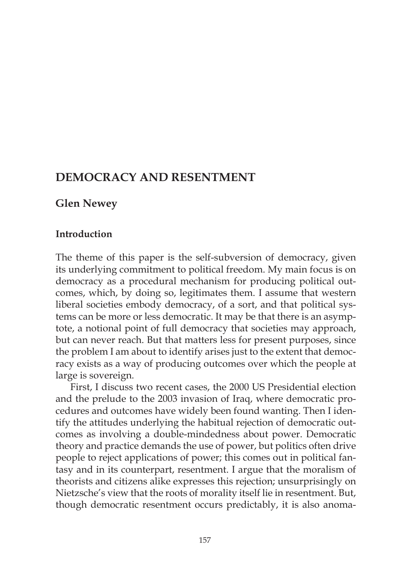# **DEMOCRACY AND RESENTMENT**

# **Glen Newey**

# **Introduction**

The theme of this paper is the self-subversion of democracy, given its underlying commitment to political freedom. My main focus is on democracy as a procedural mechanism for producing political outcomes, which, by doing so, legitimates them. I assume that western liberal societies embody democracy, of a sort, and that political systems can be more or less democratic. It may be that there is an asymptote, a notional point of full democracy that societies may approach, but can never reach. But that matters less for present purposes, since the problem I am about to identify arises just to the extent that democracy exists as a way of producing outcomes over which the people at large is sovereign.

First, I discuss two recent cases, the 2000 US Presidential election and the prelude to the 2003 invasion of Iraq, where democratic procedures and outcomes have widely been found wanting. Then I identify the attitudes underlying the habitual rejection of democratic outcomes as involving a double-mindedness about power. Democratic theory and practice demands the use of power, but politics often drive people to reject applications of power; this comes out in political fantasy and in its counterpart, resentment. I argue that the moralism of theorists and citizens alike expresses this rejection; unsurprisingly on Nietzsche's view that the roots of morality itself lie in resentment. But, though democratic resentment occurs predictably, it is also anoma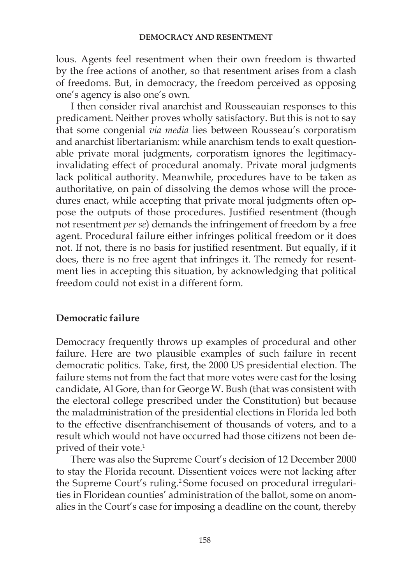lous. Agents feel resentment when their own freedom is thwarted by the free actions of another, so that resentment arises from a clash of freedoms. But, in democracy, the freedom perceived as opposing one's agency is also one's own.

I then consider rival anarchist and Rousseauian responses to this predicament. Neither proves wholly satisfactory. But this is not to say that some congenial *via media* lies between Rousseau's corporatism and anarchist libertarianism: while anarchism tends to exalt questionable private moral judgments, corporatism ignores the legitimacyinvalidating effect of procedural anomaly. Private moral judgments lack political authority. Meanwhile, procedures have to be taken as authoritative, on pain of dissolving the demos whose will the procedures enact, while accepting that private moral judgments often oppose the outputs of those procedures. Justified resentment (though not resentment *per se*) demands the infringement of freedom by a free agent. Procedural failure either infringes political freedom or it does not. If not, there is no basis for justified resentment. But equally, if it does, there is no free agent that infringes it. The remedy for resentment lies in accepting this situation, by acknowledging that political freedom could not exist in a different form.

# **Democratic failure**

Democracy frequently throws up examples of procedural and other failure. Here are two plausible examples of such failure in recent democratic politics. Take, first, the 2000 US presidential election. The failure stems not from the fact that more votes were cast for the losing candidate, Al Gore, than for George W. Bush (that was consistent with the electoral college prescribed under the Constitution) but because the maladministration of the presidential elections in Florida led both to the effective disenfranchisement of thousands of voters, and to a result which would not have occurred had those citizens not been deprived of their vote.<sup>1</sup>

There was also the Supreme Court's decision of 12 December 2000 to stay the Florida recount. Dissentient voices were not lacking after the Supreme Court's ruling.2 Some focused on procedural irregularities in Floridean counties' administration of the ballot, some on anomalies in the Court's case for imposing a deadline on the count, thereby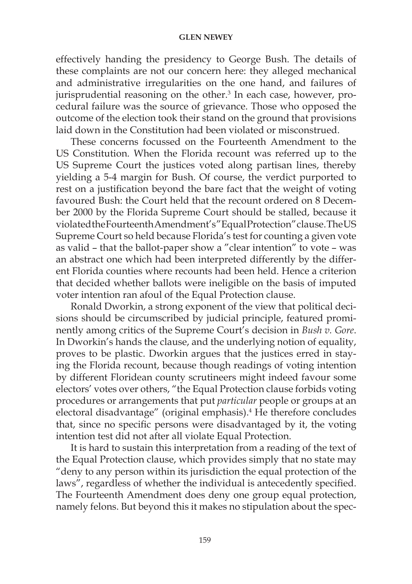effectively handing the presidency to George Bush. The details of these complaints are not our concern here: they alleged mechanical and administrative irregularities on the one hand, and failures of jurisprudential reasoning on the other.<sup>3</sup> In each case, however, procedural failure was the source of grievance. Those who opposed the outcome of the election took their stand on the ground that provisions laid down in the Constitution had been violated or misconstrued.

These concerns focussed on the Fourteenth Amendment to the US Constitution. When the Florida recount was referred up to the US Supreme Court the justices voted along partisan lines, thereby yielding a 5-4 margin for Bush. Of course, the verdict purported to rest on a justification beyond the bare fact that the weight of voting favoured Bush: the Court held that the recount ordered on 8 December 2000 by the Florida Supreme Court should be stalled, because it violated the Fourteenth Amendment's "Equal Protection" clause. The US Supreme Court so held because Florida's test for counting a given vote as valid – that the ballot-paper show a "clear intention" to vote – was an abstract one which had been interpreted differently by the different Florida counties where recounts had been held. Hence a criterion that decided whether ballots were ineligible on the basis of imputed voter intention ran afoul of the Equal Protection clause.

Ronald Dworkin, a strong exponent of the view that political decisions should be circumscribed by judicial principle, featured prominently among critics of the Supreme Court's decision in *Bush v. Gore*. In Dworkin's hands the clause, and the underlying notion of equality, proves to be plastic. Dworkin argues that the justices erred in staying the Florida recount, because though readings of voting intention by different Floridean county scrutineers might indeed favour some electors' votes over others, "the Equal Protection clause forbids voting procedures or arrangements that put *particular* people or groups at an electoral disadvantage" (original emphasis).4 He therefore concludes that, since no specific persons were disadvantaged by it, the voting intention test did not after all violate Equal Protection.

It is hard to sustain this interpretation from a reading of the text of the Equal Protection clause, which provides simply that no state may "deny to any person within its jurisdiction the equal protection of the laws", regardless of whether the individual is antecedently specified. The Fourteenth Amendment does deny one group equal protection, namely felons. But beyond this it makes no stipulation about the spec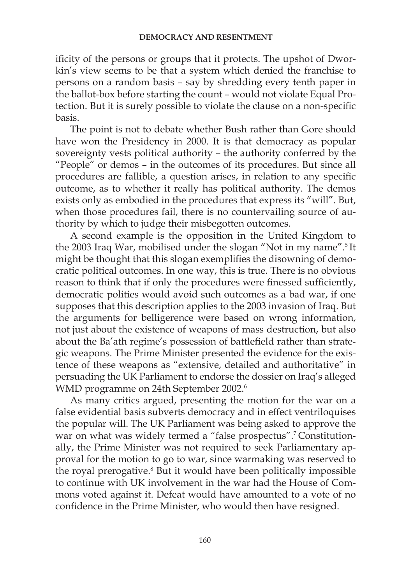ificity of the persons or groups that it protects. The upshot of Dworkin's view seems to be that a system which denied the franchise to persons on a random basis – say by shredding every tenth paper in the ballot-box before starting the count – would not violate Equal Protection. But it is surely possible to violate the clause on a non-specific basis.

The point is not to debate whether Bush rather than Gore should have won the Presidency in 2000. It is that democracy as popular sovereignty vests political authority – the authority conferred by the "People" or demos – in the outcomes of its procedures. But since all procedures are fallible, a question arises, in relation to any specific outcome, as to whether it really has political authority. The demos exists only as embodied in the procedures that express its "will". But, when those procedures fail, there is no countervailing source of authority by which to judge their misbegotten outcomes.

A second example is the opposition in the United Kingdom to the 2003 Iraq War, mobilised under the slogan "Not in my name".5 It might be thought that this slogan exemplifies the disowning of democratic political outcomes. In one way, this is true. There is no obvious reason to think that if only the procedures were finessed sufficiently, democratic polities would avoid such outcomes as a bad war, if one supposes that this description applies to the 2003 invasion of Iraq. But the arguments for belligerence were based on wrong information, not just about the existence of weapons of mass destruction, but also about the Ba'ath regime's possession of battlefield rather than strategic weapons. The Prime Minister presented the evidence for the existence of these weapons as "extensive, detailed and authoritative" in persuading the UK Parliament to endorse the dossier on Iraq's alleged WMD programme on 24th September 2002.<sup>6</sup>

As many critics argued, presenting the motion for the war on a false evidential basis subverts democracy and in effect ventriloquises the popular will. The UK Parliament was being asked to approve the war on what was widely termed a "false prospectus".7 Constitutionally, the Prime Minister was not required to seek Parliamentary approval for the motion to go to war, since warmaking was reserved to the royal prerogative.<sup>8</sup> But it would have been politically impossible to continue with UK involvement in the war had the House of Commons voted against it. Defeat would have amounted to a vote of no confidence in the Prime Minister, who would then have resigned.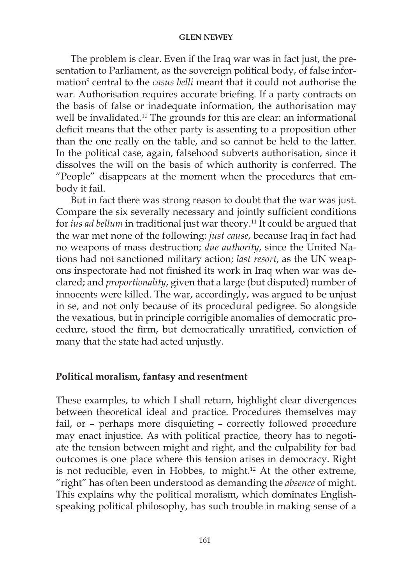The problem is clear. Even if the Iraq war was in fact just, the presentation to Parliament, as the sovereign political body, of false information<sup>9</sup> central to the *casus belli* meant that it could not authorise the war. Authorisation requires accurate briefing. If a party contracts on the basis of false or inadequate information, the authorisation may well be invalidated.10 The grounds for this are clear: an informational deficit means that the other party is assenting to a proposition other than the one really on the table, and so cannot be held to the latter. In the political case, again, falsehood subverts authorisation, since it dissolves the will on the basis of which authority is conferred. The "People" disappears at the moment when the procedures that embody it fail.

But in fact there was strong reason to doubt that the war was just. Compare the six severally necessary and jointly sufficient conditions for *ius ad bellum* in traditional just war theory.11 It could be argued that the war met none of the following: *just cause*, because Iraq in fact had no weapons of mass destruction; *due authority*, since the United Nations had not sanctioned military action; *last resort*, as the UN weapons inspectorate had not finished its work in Iraq when war was declared; and *proportionality*, given that a large (but disputed) number of innocents were killed. The war, accordingly, was argued to be unjust in se, and not only because of its procedural pedigree. So alongside the vexatious, but in principle corrigible anomalies of democratic procedure, stood the firm, but democratically unratified, conviction of many that the state had acted unjustly.

# **Political moralism, fantasy and resentment**

These examples, to which I shall return, highlight clear divergences between theoretical ideal and practice. Procedures themselves may fail, or – perhaps more disquieting – correctly followed procedure may enact injustice. As with political practice, theory has to negotiate the tension between might and right, and the culpability for bad outcomes is one place where this tension arises in democracy. Right is not reducible, even in Hobbes, to might.12 At the other extreme, "right" has often been understood as demanding the *absence* of might. This explains why the political moralism, which dominates Englishspeaking political philosophy, has such trouble in making sense of a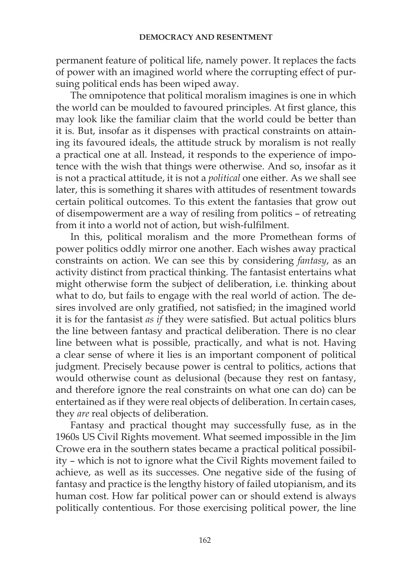permanent feature of political life, namely power. It replaces the facts of power with an imagined world where the corrupting effect of pursuing political ends has been wiped away.

The omnipotence that political moralism imagines is one in which the world can be moulded to favoured principles. At first glance, this may look like the familiar claim that the world could be better than it is. But, insofar as it dispenses with practical constraints on attaining its favoured ideals, the attitude struck by moralism is not really a practical one at all. Instead, it responds to the experience of impotence with the wish that things were otherwise. And so, insofar as it is not a practical attitude, it is not a *political* one either. As we shall see later, this is something it shares with attitudes of resentment towards certain political outcomes. To this extent the fantasies that grow out of disempowerment are a way of resiling from politics – of retreating from it into a world not of action, but wish-fulfilment.

In this, political moralism and the more Promethean forms of power politics oddly mirror one another. Each wishes away practical constraints on action. We can see this by considering *fantasy*, as an activity distinct from practical thinking. The fantasist entertains what might otherwise form the subject of deliberation, i.e. thinking about what to do, but fails to engage with the real world of action. The desires involved are only gratified, not satisfied; in the imagined world it is for the fantasist *as if* they were satisfied. But actual politics blurs the line between fantasy and practical deliberation. There is no clear line between what is possible, practically, and what is not. Having a clear sense of where it lies is an important component of political judgment. Precisely because power is central to politics, actions that would otherwise count as delusional (because they rest on fantasy, and therefore ignore the real constraints on what one can do) can be entertained as if they were real objects of deliberation. In certain cases, they *are* real objects of deliberation.

Fantasy and practical thought may successfully fuse, as in the 1960s US Civil Rights movement. What seemed impossible in the Jim Crowe era in the southern states became a practical political possibility – which is not to ignore what the Civil Rights movement failed to achieve, as well as its successes. One negative side of the fusing of fantasy and practice is the lengthy history of failed utopianism, and its human cost. How far political power can or should extend is always politically contentious. For those exercising political power, the line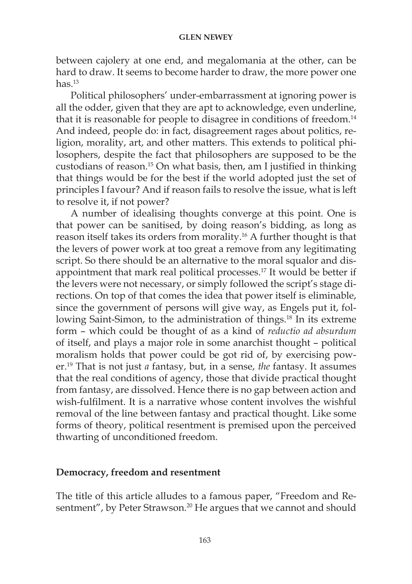between cajolery at one end, and megalomania at the other, can be hard to draw. It seems to become harder to draw, the more power one has  $13$ 

Political philosophers' under-embarrassment at ignoring power is all the odder, given that they are apt to acknowledge, even underline, that it is reasonable for people to disagree in conditions of freedom.<sup>14</sup> And indeed, people do: in fact, disagreement rages about politics, religion, morality, art, and other matters. This extends to political philosophers, despite the fact that philosophers are supposed to be the custodians of reason.15 On what basis, then, am I justified in thinking that things would be for the best if the world adopted just the set of principles I favour? And if reason fails to resolve the issue, what is left to resolve it, if not power?

A number of idealising thoughts converge at this point. One is that power can be sanitised, by doing reason's bidding, as long as reason itself takes its orders from morality.16 A further thought is that the levers of power work at too great a remove from any legitimating script. So there should be an alternative to the moral squalor and disappointment that mark real political processes.17 It would be better if the levers were not necessary, or simply followed the script's stage directions. On top of that comes the idea that power itself is eliminable, since the government of persons will give way, as Engels put it, following Saint-Simon, to the administration of things.<sup>18</sup> In its extreme form – which could be thought of as a kind of *reductio ad absurdum* of itself, and plays a major role in some anarchist thought – political moralism holds that power could be got rid of, by exercising power.19 That is not just *a* fantasy, but, in a sense, *the* fantasy. It assumes that the real conditions of agency, those that divide practical thought from fantasy, are dissolved. Hence there is no gap between action and wish-fulfilment. It is a narrative whose content involves the wishful removal of the line between fantasy and practical thought. Like some forms of theory, political resentment is premised upon the perceived thwarting of unconditioned freedom.

# **Democracy, freedom and resentment**

The title of this article alludes to a famous paper, "Freedom and Resentment", by Peter Strawson.<sup>20</sup> He argues that we cannot and should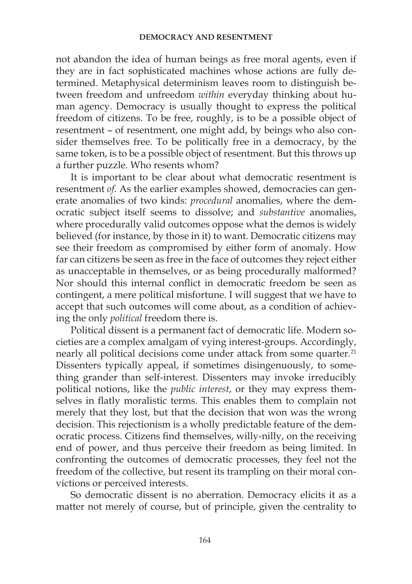not abandon the idea of human beings as free moral agents, even if they are in fact sophisticated machines whose actions are fully determined. Metaphysical determinism leaves room to distinguish between freedom and unfreedom *within* everyday thinking about human agency. Democracy is usually thought to express the political freedom of citizens. To be free, roughly, is to be a possible object of resentment – of resentment, one might add, by beings who also consider themselves free. To be politically free in a democracy, by the same token, is to be a possible object of resentment. But this throws up a further puzzle. Who resents whom?

It is important to be clear about what democratic resentment is resentment *of*. As the earlier examples showed, democracies can generate anomalies of two kinds: *procedural* anomalies, where the democratic subject itself seems to dissolve; and *substantive* anomalies, where procedurally valid outcomes oppose what the demos is widely believed (for instance, by those in it) to want. Democratic citizens may see their freedom as compromised by either form of anomaly. How far can citizens be seen as free in the face of outcomes they reject either as unacceptable in themselves, or as being procedurally malformed? Nor should this internal conflict in democratic freedom be seen as contingent, a mere political misfortune. I will suggest that we have to accept that such outcomes will come about, as a condition of achieving the only *political* freedom there is.

Political dissent is a permanent fact of democratic life. Modern societies are a complex amalgam of vying interest-groups. Accordingly, nearly all political decisions come under attack from some quarter.<sup>21</sup> Dissenters typically appeal, if sometimes disingenuously, to something grander than self-interest. Dissenters may invoke irreducibly political notions, like the *public interest*, or they may express themselves in flatly moralistic terms. This enables them to complain not merely that they lost, but that the decision that won was the wrong decision. This rejectionism is a wholly predictable feature of the democratic process. Citizens find themselves, willy-nilly, on the receiving end of power, and thus perceive their freedom as being limited. In confronting the outcomes of democratic processes, they feel not the freedom of the collective, but resent its trampling on their moral convictions or perceived interests.

So democratic dissent is no aberration. Democracy elicits it as a matter not merely of course, but of principle, given the centrality to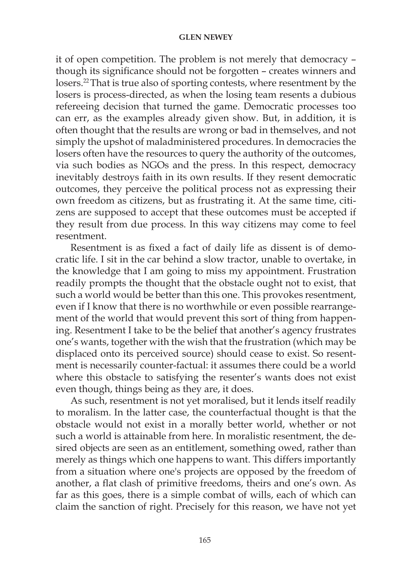it of open competition. The problem is not merely that democracy – though its significance should not be forgotten – creates winners and losers.22 That is true also of sporting contests, where resentment by the losers is process-directed, as when the losing team resents a dubious refereeing decision that turned the game. Democratic processes too can err, as the examples already given show. But, in addition, it is often thought that the results are wrong or bad in themselves, and not simply the upshot of maladministered procedures. In democracies the losers often have the resources to query the authority of the outcomes, via such bodies as NGOs and the press. In this respect, democracy inevitably destroys faith in its own results. If they resent democratic outcomes, they perceive the political process not as expressing their own freedom as citizens, but as frustrating it. At the same time, citizens are supposed to accept that these outcomes must be accepted if they result from due process. In this way citizens may come to feel resentment.

Resentment is as fixed a fact of daily life as dissent is of democratic life. I sit in the car behind a slow tractor, unable to overtake, in the knowledge that I am going to miss my appointment. Frustration readily prompts the thought that the obstacle ought not to exist, that such a world would be better than this one. This provokes resentment, even if I know that there is no worthwhile or even possible rearrangement of the world that would prevent this sort of thing from happening. Resentment I take to be the belief that another's agency frustrates one's wants, together with the wish that the frustration (which may be displaced onto its perceived source) should cease to exist. So resentment is necessarily counter-factual: it assumes there could be a world where this obstacle to satisfying the resenter's wants does not exist even though, things being as they are, it does.

As such, resentment is not yet moralised, but it lends itself readily to moralism. In the latter case, the counterfactual thought is that the obstacle would not exist in a morally better world, whether or not such a world is attainable from here. In moralistic resentment, the desired objects are seen as an entitlement, something owed, rather than merely as things which one happens to want. This differs importantly from a situation where one's projects are opposed by the freedom of another, a flat clash of primitive freedoms, theirs and one's own. As far as this goes, there is a simple combat of wills, each of which can claim the sanction of right. Precisely for this reason, we have not yet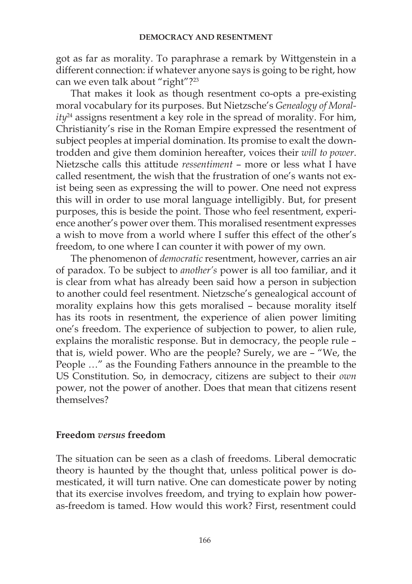got as far as morality. To paraphrase a remark by Wittgenstein in a different connection: if whatever anyone says is going to be right, how can we even talk about "right"?<sup>23</sup>

That makes it look as though resentment co-opts a pre-existing moral vocabulary for its purposes. But Nietzsche's *Genealogy of Morality*24 assigns resentment a key role in the spread of morality. For him, Christianity's rise in the Roman Empire expressed the resentment of subject peoples at imperial domination. Its promise to exalt the downtrodden and give them dominion hereafter, voices their *will to power*. Nietzsche calls this attitude *ressentiment* – more or less what I have called resentment, the wish that the frustration of one's wants not exist being seen as expressing the will to power. One need not express this will in order to use moral language intelligibly. But, for present purposes, this is beside the point. Those who feel resentment, experience another's power over them. This moralised resentment expresses a wish to move from a world where I suffer this effect of the other's freedom, to one where I can counter it with power of my own.

The phenomenon of *democratic* resentment, however, carries an air of paradox. To be subject to *another's* power is all too familiar, and it is clear from what has already been said how a person in subjection to another could feel resentment. Nietzsche's genealogical account of morality explains how this gets moralised – because morality itself has its roots in resentment, the experience of alien power limiting one's freedom. The experience of subjection to power, to alien rule, explains the moralistic response. But in democracy, the people rule – that is, wield power. Who are the people? Surely, we are – "We, the People …" as the Founding Fathers announce in the preamble to the US Constitution. So, in democracy, citizens are subject to their *own*  power, not the power of another. Does that mean that citizens resent themselves?

# **Freedom** *versus* **freedom**

The situation can be seen as a clash of freedoms. Liberal democratic theory is haunted by the thought that, unless political power is domesticated, it will turn native. One can domesticate power by noting that its exercise involves freedom, and trying to explain how poweras-freedom is tamed. How would this work? First, resentment could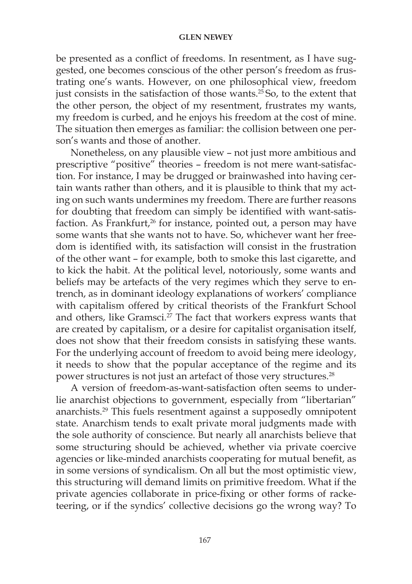be presented as a conflict of freedoms. In resentment, as I have suggested, one becomes conscious of the other person's freedom as frustrating one's wants. However, on one philosophical view, freedom just consists in the satisfaction of those wants.<sup>25</sup> So, to the extent that the other person, the object of my resentment, frustrates my wants, my freedom is curbed, and he enjoys his freedom at the cost of mine. The situation then emerges as familiar: the collision between one person's wants and those of another.

Nonetheless, on any plausible view – not just more ambitious and prescriptive "positive" theories – freedom is not mere want-satisfaction. For instance, I may be drugged or brainwashed into having certain wants rather than others, and it is plausible to think that my acting on such wants undermines my freedom. There are further reasons for doubting that freedom can simply be identified with want-satisfaction. As Frankfurt, $26$  for instance, pointed out, a person may have some wants that she wants not to have. So, whichever want her freedom is identified with, its satisfaction will consist in the frustration of the other want – for example, both to smoke this last cigarette, and to kick the habit. At the political level, notoriously, some wants and beliefs may be artefacts of the very regimes which they serve to entrench, as in dominant ideology explanations of workers' compliance with capitalism offered by critical theorists of the Frankfurt School and others, like Gramsci. $^{27}$  The fact that workers express wants that are created by capitalism, or a desire for capitalist organisation itself, does not show that their freedom consists in satisfying these wants. For the underlying account of freedom to avoid being mere ideology, it needs to show that the popular acceptance of the regime and its power structures is not just an artefact of those very structures.<sup>28</sup>

A version of freedom-as-want-satisfaction often seems to underlie anarchist objections to government, especially from "libertarian" anarchists.29 This fuels resentment against a supposedly omnipotent state. Anarchism tends to exalt private moral judgments made with the sole authority of conscience. But nearly all anarchists believe that some structuring should be achieved, whether via private coercive agencies or like-minded anarchists cooperating for mutual benefit, as in some versions of syndicalism. On all but the most optimistic view, this structuring will demand limits on primitive freedom. What if the private agencies collaborate in price-fixing or other forms of racketeering, or if the syndics' collective decisions go the wrong way? To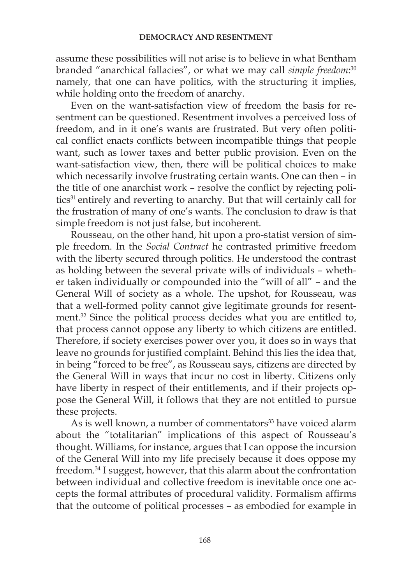assume these possibilities will not arise is to believe in what Bentham branded "anarchical fallacies", or what we may call *simple freedom*: 30 namely, that one can have politics, with the structuring it implies, while holding onto the freedom of anarchy.

Even on the want-satisfaction view of freedom the basis for resentment can be questioned. Resentment involves a perceived loss of freedom, and in it one's wants are frustrated. But very often political conflict enacts conflicts between incompatible things that people want, such as lower taxes and better public provision. Even on the want-satisfaction view, then, there will be political choices to make which necessarily involve frustrating certain wants. One can then – in the title of one anarchist work – resolve the conflict by rejecting politics<sup>31</sup> entirely and reverting to anarchy. But that will certainly call for the frustration of many of one's wants. The conclusion to draw is that simple freedom is not just false, but incoherent.

Rousseau, on the other hand, hit upon a pro-statist version of simple freedom. In the *Social Contract* he contrasted primitive freedom with the liberty secured through politics. He understood the contrast as holding between the several private wills of individuals – whether taken individually or compounded into the "will of all" – and the General Will of society as a whole. The upshot, for Rousseau, was that a well-formed polity cannot give legitimate grounds for resentment.32 Since the political process decides what you are entitled to, that process cannot oppose any liberty to which citizens are entitled. Therefore, if society exercises power over you, it does so in ways that leave no grounds for justified complaint. Behind this lies the idea that, in being "forced to be free", as Rousseau says, citizens are directed by the General Will in ways that incur no cost in liberty. Citizens only have liberty in respect of their entitlements, and if their projects oppose the General Will, it follows that they are not entitled to pursue these projects.

As is well known, a number of commentators<sup>33</sup> have voiced alarm about the "totalitarian" implications of this aspect of Rousseau's thought. Williams, for instance, argues that I can oppose the incursion of the General Will into my life precisely because it does oppose my freedom.34 I suggest, however, that this alarm about the confrontation between individual and collective freedom is inevitable once one accepts the formal attributes of procedural validity. Formalism affirms that the outcome of political processes – as embodied for example in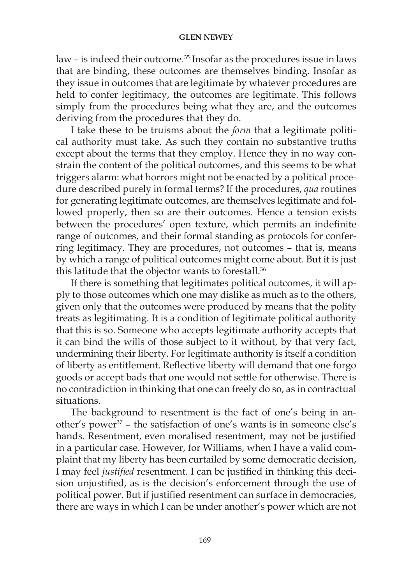law – is indeed their outcome.<sup>35</sup> Insofar as the procedures issue in laws that are binding, these outcomes are themselves binding. Insofar as they issue in outcomes that are legitimate by whatever procedures are held to confer legitimacy, the outcomes are legitimate. This follows simply from the procedures being what they are, and the outcomes deriving from the procedures that they do.

I take these to be truisms about the *form* that a legitimate political authority must take. As such they contain no substantive truths except about the terms that they employ. Hence they in no way constrain the content of the political outcomes, and this seems to be what triggers alarm: what horrors might not be enacted by a political procedure described purely in formal terms? If the procedures, *qua* routines for generating legitimate outcomes, are themselves legitimate and followed properly, then so are their outcomes. Hence a tension exists between the procedures' open texture, which permits an indefinite range of outcomes, and their formal standing as protocols for conferring legitimacy. They are procedures, not outcomes – that is, means by which a range of political outcomes might come about. But it is just this latitude that the objector wants to forestall.36

If there is something that legitimates political outcomes, it will apply to those outcomes which one may dislike as much as to the others, given only that the outcomes were produced by means that the polity treats as legitimating. It is a condition of legitimate political authority that this is so. Someone who accepts legitimate authority accepts that it can bind the wills of those subject to it without, by that very fact, undermining their liberty. For legitimate authority is itself a condition of liberty as entitlement. Reflective liberty will demand that one forgo goods or accept bads that one would not settle for otherwise. There is no contradiction in thinking that one can freely do so, as in contractual situations.

The background to resentment is the fact of one's being in another's power<sup>37</sup> - the satisfaction of one's wants is in someone else's hands. Resentment, even moralised resentment, may not be justified in a particular case. However, for Williams, when I have a valid complaint that my liberty has been curtailed by some democratic decision, I may feel *justified* resentment. I can be justified in thinking this decision unjustified, as is the decision's enforcement through the use of political power. But if justified resentment can surface in democracies, there are ways in which I can be under another's power which are not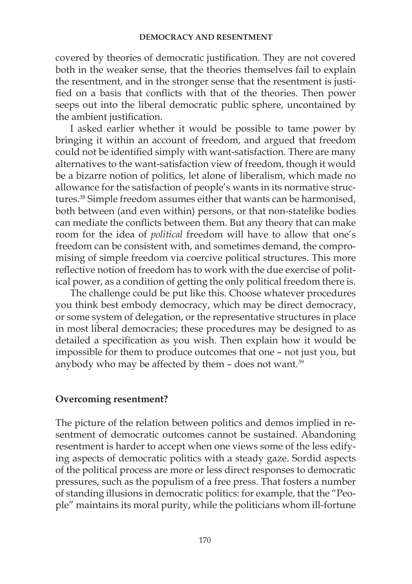covered by theories of democratic justification. They are not covered both in the weaker sense, that the theories themselves fail to explain the resentment, and in the stronger sense that the resentment is justified on a basis that conflicts with that of the theories. Then power seeps out into the liberal democratic public sphere, uncontained by the ambient justification.

I asked earlier whether it would be possible to tame power by bringing it within an account of freedom, and argued that freedom could not be identified simply with want-satisfaction. There are many alternatives to the want-satisfaction view of freedom, though it would be a bizarre notion of politics, let alone of liberalism, which made no allowance for the satisfaction of people's wants in its normative structures.38 Simple freedom assumes either that wants can be harmonised, both between (and even within) persons, or that non-statelike bodies can mediate the conflicts between them. But any theory that can make room for the idea of *political* freedom will have to allow that one's freedom can be consistent with, and sometimes demand, the compromising of simple freedom via coercive political structures. This more reflective notion of freedom has to work with the due exercise of political power, as a condition of getting the only political freedom there is.

The challenge could be put like this. Choose whatever procedures you think best embody democracy, which may be direct democracy, or some system of delegation, or the representative structures in place in most liberal democracies; these procedures may be designed to as detailed a specification as you wish. Then explain how it would be impossible for them to produce outcomes that one – not just you, but anybody who may be affected by them - does not want.<sup>39</sup>

# **Overcoming resentment?**

The picture of the relation between politics and demos implied in resentment of democratic outcomes cannot be sustained. Abandoning resentment is harder to accept when one views some of the less edifying aspects of democratic politics with a steady gaze. Sordid aspects of the political process are more or less direct responses to democratic pressures, such as the populism of a free press. That fosters a number of standing illusions in democratic politics: for example, that the "People" maintains its moral purity, while the politicians whom ill-fortune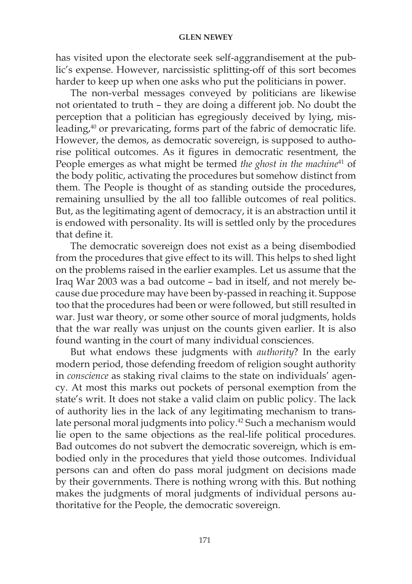has visited upon the electorate seek self-aggrandisement at the public's expense. However, narcissistic splitting-off of this sort becomes harder to keep up when one asks who put the politicians in power.

The non-verbal messages conveyed by politicians are likewise not orientated to truth – they are doing a different job. No doubt the perception that a politician has egregiously deceived by lying, misleading,<sup>40</sup> or prevaricating, forms part of the fabric of democratic life. However, the demos, as democratic sovereign, is supposed to authorise political outcomes. As it figures in democratic resentment, the People emerges as what might be termed *the ghost in the machine*<sup>41</sup> of the body politic, activating the procedures but somehow distinct from them. The People is thought of as standing outside the procedures, remaining unsullied by the all too fallible outcomes of real politics. But, as the legitimating agent of democracy, it is an abstraction until it is endowed with personality. Its will is settled only by the procedures that define it.

The democratic sovereign does not exist as a being disembodied from the procedures that give effect to its will. This helps to shed light on the problems raised in the earlier examples. Let us assume that the Iraq War 2003 was a bad outcome – bad in itself, and not merely because due procedure may have been by-passed in reaching it. Suppose too that the procedures had been or were followed, but still resulted in war. Just war theory, or some other source of moral judgments, holds that the war really was unjust on the counts given earlier. It is also found wanting in the court of many individual consciences.

But what endows these judgments with *authority*? In the early modern period, those defending freedom of religion sought authority in *conscience* as staking rival claims to the state on individuals' agency. At most this marks out pockets of personal exemption from the state's writ. It does not stake a valid claim on public policy. The lack of authority lies in the lack of any legitimating mechanism to translate personal moral judgments into policy.42 Such a mechanism would lie open to the same objections as the real-life political procedures. Bad outcomes do not subvert the democratic sovereign, which is embodied only in the procedures that yield those outcomes. Individual persons can and often do pass moral judgment on decisions made by their governments. There is nothing wrong with this. But nothing makes the judgments of moral judgments of individual persons authoritative for the People, the democratic sovereign.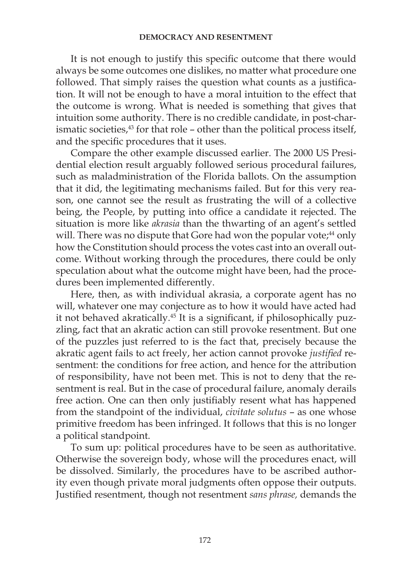It is not enough to justify this specific outcome that there would always be some outcomes one dislikes, no matter what procedure one followed. That simply raises the question what counts as a justification. It will not be enough to have a moral intuition to the effect that the outcome is wrong. What is needed is something that gives that intuition some authority. There is no credible candidate, in post-charismatic societies, $43$  for that role – other than the political process itself, and the specific procedures that it uses.

Compare the other example discussed earlier. The 2000 US Presidential election result arguably followed serious procedural failures, such as maladministration of the Florida ballots. On the assumption that it did, the legitimating mechanisms failed. But for this very reason, one cannot see the result as frustrating the will of a collective being, the People, by putting into office a candidate it rejected. The situation is more like *akrasia* than the thwarting of an agent's settled will. There was no dispute that Gore had won the popular vote;<sup>44</sup> only how the Constitution should process the votes cast into an overall outcome. Without working through the procedures, there could be only speculation about what the outcome might have been, had the procedures been implemented differently.

Here, then, as with individual akrasia, a corporate agent has no will, whatever one may conjecture as to how it would have acted had it not behaved akratically.<sup>45</sup> It is a significant, if philosophically puzzling, fact that an akratic action can still provoke resentment. But one of the puzzles just referred to is the fact that, precisely because the akratic agent fails to act freely, her action cannot provoke *justified* resentment: the conditions for free action, and hence for the attribution of responsibility, have not been met. This is not to deny that the resentment is real. But in the case of procedural failure, anomaly derails free action. One can then only justifiably resent what has happened from the standpoint of the individual, *civitate solutus* – as one whose primitive freedom has been infringed. It follows that this is no longer a political standpoint.

To sum up: political procedures have to be seen as authoritative. Otherwise the sovereign body, whose will the procedures enact, will be dissolved. Similarly, the procedures have to be ascribed authority even though private moral judgments often oppose their outputs. Justified resentment, though not resentment *sans phrase,* demands the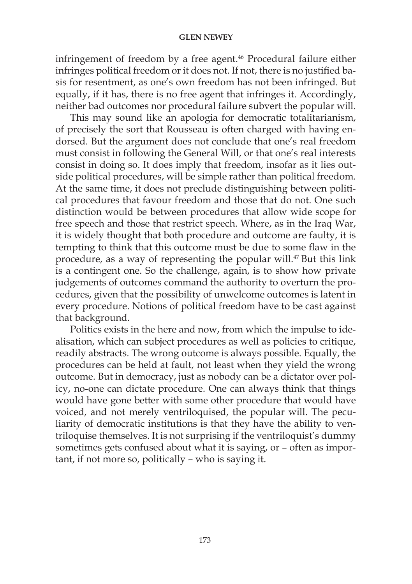infringement of freedom by a free agent.<sup>46</sup> Procedural failure either infringes political freedom or it does not. If not, there is no justified basis for resentment, as one's own freedom has not been infringed. But equally, if it has, there is no free agent that infringes it. Accordingly, neither bad outcomes nor procedural failure subvert the popular will.

This may sound like an apologia for democratic totalitarianism, of precisely the sort that Rousseau is often charged with having endorsed. But the argument does not conclude that one's real freedom must consist in following the General Will, or that one's real interests consist in doing so. It does imply that freedom, insofar as it lies outside political procedures, will be simple rather than political freedom. At the same time, it does not preclude distinguishing between political procedures that favour freedom and those that do not. One such distinction would be between procedures that allow wide scope for free speech and those that restrict speech. Where, as in the Iraq War, it is widely thought that both procedure and outcome are faulty, it is tempting to think that this outcome must be due to some flaw in the procedure, as a way of representing the popular will.47 But this link is a contingent one. So the challenge, again, is to show how private judgements of outcomes command the authority to overturn the procedures, given that the possibility of unwelcome outcomes is latent in every procedure. Notions of political freedom have to be cast against that background.

Politics exists in the here and now, from which the impulse to idealisation, which can subject procedures as well as policies to critique, readily abstracts. The wrong outcome is always possible. Equally, the procedures can be held at fault, not least when they yield the wrong outcome. But in democracy, just as nobody can be a dictator over policy, no-one can dictate procedure. One can always think that things would have gone better with some other procedure that would have voiced, and not merely ventriloquised, the popular will. The peculiarity of democratic institutions is that they have the ability to ventriloquise themselves. It is not surprising if the ventriloquist's dummy sometimes gets confused about what it is saying, or – often as important, if not more so, politically – who is saying it.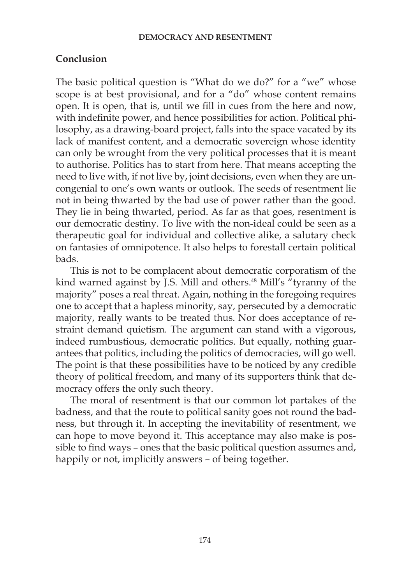# **Conclusion**

The basic political question is "What do we do?" for a "we" whose scope is at best provisional, and for a "do" whose content remains open. It is open, that is, until we fill in cues from the here and now, with indefinite power, and hence possibilities for action. Political philosophy, as a drawing-board project, falls into the space vacated by its lack of manifest content, and a democratic sovereign whose identity can only be wrought from the very political processes that it is meant to authorise. Politics has to start from here. That means accepting the need to live with, if not live by, joint decisions, even when they are uncongenial to one's own wants or outlook. The seeds of resentment lie not in being thwarted by the bad use of power rather than the good. They lie in being thwarted, period. As far as that goes, resentment is our democratic destiny. To live with the non-ideal could be seen as a therapeutic goal for individual and collective alike, a salutary check on fantasies of omnipotence. It also helps to forestall certain political bads.

This is not to be complacent about democratic corporatism of the kind warned against by J.S. Mill and others.<sup>48</sup> Mill's "tyranny of the majority" poses a real threat. Again, nothing in the foregoing requires one to accept that a hapless minority, say, persecuted by a democratic majority, really wants to be treated thus. Nor does acceptance of restraint demand quietism. The argument can stand with a vigorous, indeed rumbustious, democratic politics. But equally, nothing guarantees that politics, including the politics of democracies, will go well. The point is that these possibilities have to be noticed by any credible theory of political freedom, and many of its supporters think that democracy offers the only such theory.

The moral of resentment is that our common lot partakes of the badness, and that the route to political sanity goes not round the badness, but through it. In accepting the inevitability of resentment, we can hope to move beyond it. This acceptance may also make is possible to find ways – ones that the basic political question assumes and, happily or not, implicitly answers – of being together.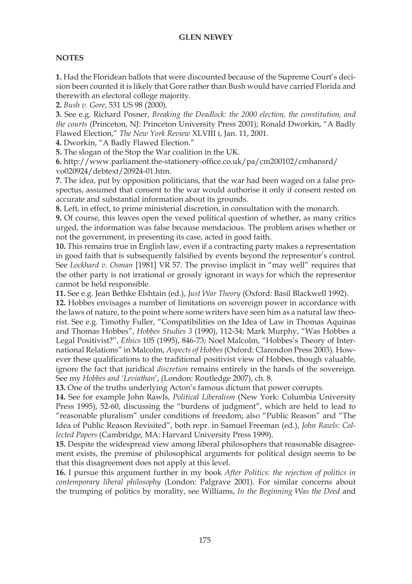# **NOTES**

**1.** Had the Floridean ballots that were discounted because of the Supreme Court's decision been counted it is likely that Gore rather than Bush would have carried Florida and therewith an electoral college majority.

**2.** *Bush v. Gore*, 531 US 98 (2000).

**3.** See e.g. Richard Posner, *Breaking the Deadlock: the 2000 election, the constitution, and the courts* (Princeton, NJ: Princeton University Press 2001); Ronald Dworkin, "A Badly Flawed Election," *The New York Review* XLVIII i, Jan. 11, 2001.

**4.** Dworkin, "A Badly Flawed Election."

**5.** The slogan of the Stop the War coalition in the UK.

**6.** http://www.parliament.the-stationery-office.co.uk/pa/cm200102/cmhansrd/ vo020924/debtext/20924-01.htm.

**7.** The idea, put by opposition politicians, that the war had been waged on a false prospectus, assumed that consent to the war would authorise it only if consent rested on accurate and substantial information about its grounds.

**8.** Left, in effect, to prime ministerial discretion, in consultation with the monarch.

**9.** Of course, this leaves open the vexed political question of whether, as many critics urged, the information was false because mendacious. The problem arises whether or not the government, in presenting its case, acted in good faith.

**10.** This remains true in English law, even if a contracting party makes a representation in good faith that is subsequently falsified by events beyond the representor's control. See *Lockhard v. Osman* [1981] VR 57. The proviso implicit in "may well" requires that the other party is not irrational or grossly ignorant in ways for which the representor cannot be held responsible.

**11.** See e.g. Jean Bethke Elshtain (ed.), *Just War Theory* (Oxford: Basil Blackwell 1992).

**12.** Hobbes envisages a number of limitations on sovereign power in accordance with the laws of nature, to the point where some writers have seen him as a natural law theorist. See e.g. Timothy Fuller, "Compatibilities on the Idea of Law in Thomas Aquinas and Thomas Hobbes", *Hobbes Studies 3* (1990), 112-34; Mark Murphy, "Was Hobbes a Legal Positivist?", *Ethics* 105 (1995), 846-73; Noel Malcolm, "Hobbes's Theory of International Relations" in Malcolm, *Aspects of Hobbes* (Oxford: Clarendon Press 2003). However these qualifications to the traditional positivist view of Hobbes, though valuable, ignore the fact that juridical *discretion* remains entirely in the hands of the sovereign. See my *Hobbes and 'Leviathan*', (London: Routledge 2007), ch. 8.

**13.** One of the truths underlying Acton's famous dictum that power corrupts.

**14.** See for example John Rawls, *Political Liberalism* (New York: Columbia University Press 1995), 52-60, discussing the "burdens of judgment", which are held to lead to "reasonable pluralism" under conditions of freedom; also "Public Reason" and "The Idea of Public Reason Revisited", both repr. in Samuel Freeman (ed.), *John Rawls: Collected Papers* (Cambridge, MA: Harvard University Press 1999).

**15.** Despite the widespread view among liberal philosophers that reasonable disagreement exists, the premise of philosophical arguments for political design seems to be that this disagreement does not apply at this level.

**16.** I pursue this argument further in my book *After Politics: the rejection of politics in contemporary liberal philosophy* (London: Palgrave 2001). For similar concerns about the trumping of politics by morality, see Williams, *In the Beginning Was the Deed* and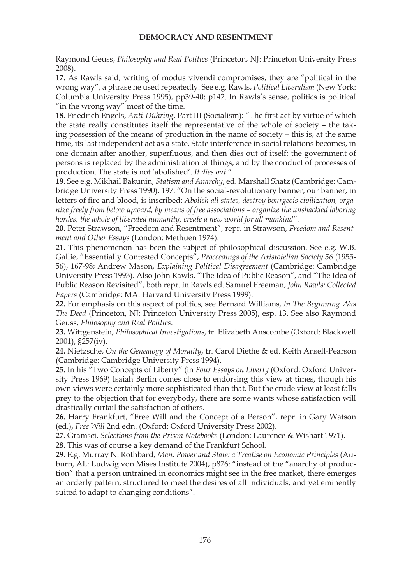### **DEMOCRACY AND RESENTMENT**

Raymond Geuss, *Philosophy and Real Politics* (Princeton, NJ: Princeton University Press 2008).

**17.** As Rawls said, writing of modus vivendi compromises, they are "political in the wrong way", a phrase he used repeatedly. See e.g. Rawls, *Political Liberalism* (New York: Columbia University Press 1995), pp39-40; p142. In Rawls's sense, politics is political "in the wrong way" most of the time.

**18.** Friedrich Engels, *Anti-Dühring*, Part III (Socialism): "The first act by virtue of which the state really constitutes itself the representative of the whole of society – the taking possession of the means of production in the name of society – this is, at the same time, its last independent act as a state. State interference in social relations becomes, in one domain after another, superfluous, and then dies out of itself; the government of persons is replaced by the administration of things, and by the conduct of processes of production. The state is not 'abolished'. *It dies out.*"

**19.** See e.g. Mikhail Bakunin, *Statism and Anarchy*, ed. Marshall Shatz (Cambridge: Cambridge University Press 1990), 197: "On the social-revolutionary banner, our banner, in letters of fire and blood, is inscribed: *Abolish all states, destroy bourgeois civilization, organize freely from below upward, by means of free associations – organize the unshackled laboring hordes, the whole of liberated humanity, create a new world for all mankind"*.

**20.** Peter Strawson, "Freedom and Resentment", repr. in Strawson, *Freedom and Resentment and Other Essays* (London: Methuen 1974).

**21.** This phenomenon has been the subject of philosophical discussion. See e.g. W.B. Gallie, "Essentially Contested Concepts", *Proceedings of the Aristotelian Society 56* (1955- 56), 167-98; Andrew Mason, *Explaining Political Disagreement* (Cambridge: Cambridge University Press 1993). Also John Rawls, "The Idea of Public Reason", and "The Idea of Public Reason Revisited", both repr. in Rawls ed. Samuel Freeman, *John Rawls: Collected Papers* (Cambridge: MA: Harvard University Press 1999).

**22.** For emphasis on this aspect of politics, see Bernard Williams, *In The Beginning Was The Deed* (Princeton, NJ: Princeton University Press 2005), esp. 13. See also Raymond Geuss, *Philosophy and Real Politics*.

**23.** Wittgenstein, *Philosophical Investigations*, tr. Elizabeth Anscombe (Oxford: Blackwell 2001), §257(iv).

**24.** Nietzsche, *On the Genealogy of Morality*, tr. Carol Diethe & ed. Keith Ansell-Pearson (Cambridge: Cambridge University Press 1994).

**25.** In his "Two Concepts of Liberty" (in *Four Essays on Liberty* (Oxford: Oxford University Press 1969) Isaiah Berlin comes close to endorsing this view at times, though his own views were certainly more sophisticated than that. But the crude view at least falls prey to the objection that for everybody, there are some wants whose satisfaction will drastically curtail the satisfaction of others.

**26.** Harry Frankfurt, "Free Will and the Concept of a Person", repr. in Gary Watson (ed.), *Free Will* 2nd edn. (Oxford: Oxford University Press 2002).

**27.** Gramsci, *Selections from the Prison Notebooks* (London: Laurence & Wishart 1971).

**28.** This was of course a key demand of the Frankfurt School.

**29.** E.g. Murray N. Rothbard, *Man, Power and State: a Treatise on Economic Principles* (Auburn, AL: Ludwig von Mises Institute 2004), p876: "instead of the "anarchy of production" that a person untrained in economics might see in the free market, there emerges an orderly pattern, structured to meet the desires of all individuals, and yet eminently suited to adapt to changing conditions".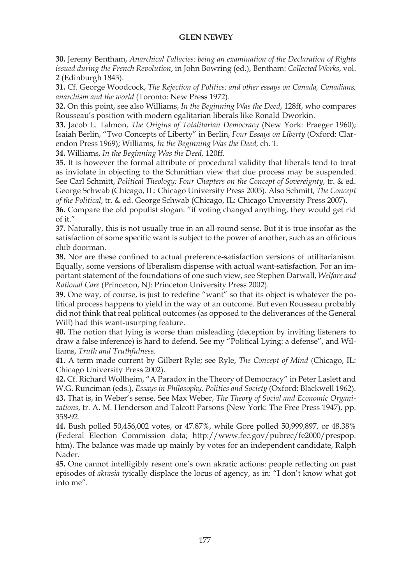**30.** Jeremy Bentham, *Anarchical Fallacies: being an examination of the Declaration of Rights issued during the French Revolution*, in John Bowring (ed.), Bentham: *Collected Works*, vol. 2 (Edinburgh 1843).

**31.** Cf. George Woodcock, *The Rejection of Politics: and other essays on Canada, Canadians, anarchism and the world* (Toronto: New Press 1972).

**32.** On this point, see also Williams, *In the Beginning Was the Deed*, 128ff, who compares Rousseau's position with modern egalitarian liberals like Ronald Dworkin.

**33.** Jacob L. Talmon, *The Origins of Totalitarian Democracy* (New York: Praeger 1960); Isaiah Berlin, "Two Concepts of Liberty" in Berlin, *Four Essays on Liberty* (Oxford: Clarendon Press 1969); Williams, *In the Beginning Was the Deed,* ch. 1.

**34.** Williams, *In the Beginning Was the Deed,* 120ff.

**35.** It is however the formal attribute of procedural validity that liberals tend to treat as inviolate in objecting to the Schmittian view that due process may be suspended. See Carl Schmitt, *Political Theology: Four Chapters on the Concept of Sovereignty*, tr. & ed. George Schwab (Chicago, IL: Chicago University Press 2005). Also Schmitt, *The Concept of the Political*, tr. & ed. George Schwab (Chicago, IL: Chicago University Press 2007).

**36.** Compare the old populist slogan: "if voting changed anything, they would get rid of it."

**37.** Naturally, this is not usually true in an all-round sense. But it is true insofar as the satisfaction of some specific want is subject to the power of another, such as an officious club doorman.

**38.** Nor are these confined to actual preference-satisfaction versions of utilitarianism. Equally, some versions of liberalism dispense with actual want-satisfaction. For an important statement of the foundations of one such view, see Stephen Darwall, *Welfare and Rational Care* (Princeton, NJ: Princeton University Press 2002).

**39.** One way, of course, is just to redefine "want" so that its object is whatever the political process happens to yield in the way of an outcome. But even Rousseau probably did not think that real political outcomes (as opposed to the deliverances of the General Will) had this want-usurping feature.

**40.** The notion that lying is worse than misleading (deception by inviting listeners to draw a false inference) is hard to defend. See my "Political Lying: a defense", and Williams, *Truth and Truthfulness*.

**41.** A term made current by Gilbert Ryle; see Ryle, *The Concept of Mind* (Chicago, IL: Chicago University Press 2002).

**42.** Cf. Richard Wollheim, "A Paradox in the Theory of Democracy" in Peter Laslett and W.G. Runciman (eds.), *Essays in Philosophy, Politics and Society* (Oxford: Blackwell 1962). **43.** That is, in Weber's sense. See Max Weber, *The Theory of Social and Economic Organizations*, tr. A. M. Henderson and Talcott Parsons (New York: The Free Press 1947), pp. 358-92.

**44.** Bush polled 50,456,002 votes, or 47.87%, while Gore polled 50,999,897, or 48.38% (Federal Election Commission data; http://www.fec.gov/pubrec/fe2000/prespop. htm). The balance was made up mainly by votes for an independent candidate, Ralph Nader.

**45.** One cannot intelligibly resent one's own akratic actions: people reflecting on past episodes of *akrasia* tyically displace the locus of agency, as in: "I don't know what got into me".